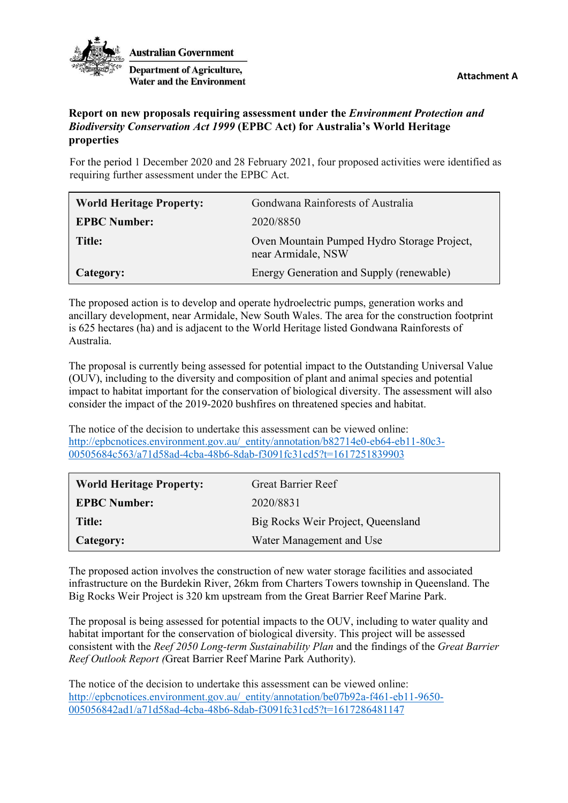

**Australian Government Department of Agriculture. Water and the Environment** 

**Attachment A**

## **Report on new proposals requiring assessment under the** *Environment Protection and Biodiversity Conservation Act 1999* **(EPBC Act) for Australia's World Heritage properties**

For the period 1 December 2020 and 28 February 2021, four proposed activities were identified as requiring further assessment under the EPBC Act.

| <b>World Heritage Property:</b> | Gondwana Rainforests of Australia                                 |
|---------------------------------|-------------------------------------------------------------------|
| <b>EPBC Number:</b>             | 2020/8850                                                         |
| Title:                          | Oven Mountain Pumped Hydro Storage Project,<br>near Armidale, NSW |
| Category:                       | Energy Generation and Supply (renewable)                          |

The proposed action is to develop and operate hydroelectric pumps, generation works and ancillary development, near Armidale, New South Wales. The area for the construction footprint is 625 hectares (ha) and is adjacent to the World Heritage listed Gondwana Rainforests of Australia.

The proposal is currently being assessed for potential impact to the Outstanding Universal Value (OUV), including to the diversity and composition of plant and animal species and potential impact to habitat important for the conservation of biological diversity. The assessment will also consider the impact of the 2019-2020 bushfires on threatened species and habitat.

The notice of the decision to undertake this assessment can be viewed online: [http://epbcnotices.environment.gov.au/\\_entity/annotation/b82714e0-eb64-eb11-80c3-](http://epbcnotices.environment.gov.au/_entity/annotation/b82714e0-eb64-eb11-80c3-00505684c563/a71d58ad-4cba-48b6-8dab-f3091fc31cd5?t=1617251839903) [00505684c563/a71d58ad-4cba-48b6-8dab-f3091fc31cd5?t=1617251839903](http://epbcnotices.environment.gov.au/_entity/annotation/b82714e0-eb64-eb11-80c3-00505684c563/a71d58ad-4cba-48b6-8dab-f3091fc31cd5?t=1617251839903)

| <b>World Heritage Property:</b> | <b>Great Barrier Reef</b>          |
|---------------------------------|------------------------------------|
| <b>EPBC Number:</b>             | 2020/8831                          |
| Title:                          | Big Rocks Weir Project, Queensland |
| Category:                       | Water Management and Use           |

The proposed action involves the construction of new water storage facilities and associated infrastructure on the Burdekin River, 26km from Charters Towers township in Queensland. The Big Rocks Weir Project is 320 km upstream from the Great Barrier Reef Marine Park.

The proposal is being assessed for potential impacts to the OUV, including to water quality and habitat important for the conservation of biological diversity. This project will be assessed consistent with the *Reef 2050 Long-term Sustainability Plan* and the findings of the *Great Barrier Reef Outlook Report (*Great Barrier Reef Marine Park Authority).

The notice of the decision to undertake this assessment can be viewed online: [http://epbcnotices.environment.gov.au/\\_entity/annotation/be07b92a-f461-eb11-9650-](http://epbcnotices.environment.gov.au/_entity/annotation/be07b92a-f461-eb11-9650-005056842ad1/a71d58ad-4cba-48b6-8dab-f3091fc31cd5?t=1617286481147) [005056842ad1/a71d58ad-4cba-48b6-8dab-f3091fc31cd5?t=1617286481147](http://epbcnotices.environment.gov.au/_entity/annotation/be07b92a-f461-eb11-9650-005056842ad1/a71d58ad-4cba-48b6-8dab-f3091fc31cd5?t=1617286481147)